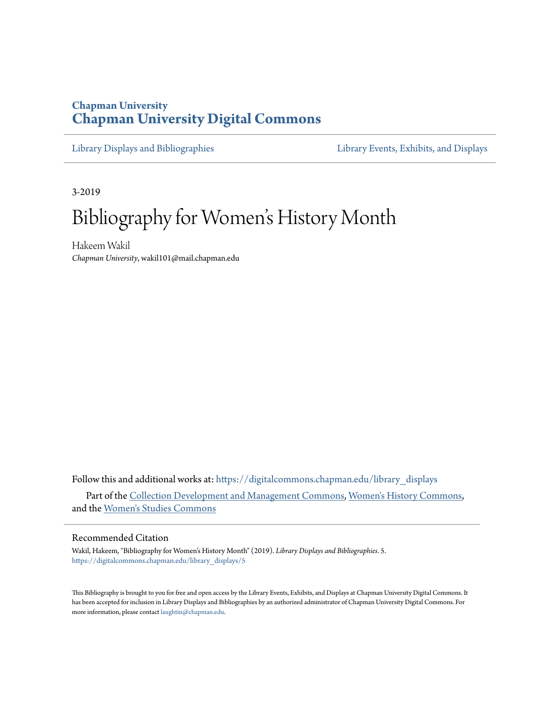# **Chapman University [Chapman University Digital Commons](https://digitalcommons.chapman.edu?utm_source=digitalcommons.chapman.edu%2Flibrary_displays%2F5&utm_medium=PDF&utm_campaign=PDFCoverPages)**

[Library Displays and Bibliographies](https://digitalcommons.chapman.edu/library_displays?utm_source=digitalcommons.chapman.edu%2Flibrary_displays%2F5&utm_medium=PDF&utm_campaign=PDFCoverPages) [Library Events, Exhibits, and Displays](https://digitalcommons.chapman.edu/library_events?utm_source=digitalcommons.chapman.edu%2Flibrary_displays%2F5&utm_medium=PDF&utm_campaign=PDFCoverPages)

3-2019

# Bibliography for Women 's History Month

Hakeem Wakil *Chapman University*, wakil101@mail.chapman.edu

Follow this and additional works at: [https://digitalcommons.chapman.edu/library\\_displays](https://digitalcommons.chapman.edu/library_displays?utm_source=digitalcommons.chapman.edu%2Flibrary_displays%2F5&utm_medium=PDF&utm_campaign=PDFCoverPages) Part of the [Collection Development and Management Commons,](http://network.bepress.com/hgg/discipline/1271?utm_source=digitalcommons.chapman.edu%2Flibrary_displays%2F5&utm_medium=PDF&utm_campaign=PDFCoverPages) [Women's History Commons](http://network.bepress.com/hgg/discipline/507?utm_source=digitalcommons.chapman.edu%2Flibrary_displays%2F5&utm_medium=PDF&utm_campaign=PDFCoverPages), and the [Women's Studies Commons](http://network.bepress.com/hgg/discipline/561?utm_source=digitalcommons.chapman.edu%2Flibrary_displays%2F5&utm_medium=PDF&utm_campaign=PDFCoverPages)

#### Recommended Citation

Wakil, Hakeem, "Bibliography for Women's History Month" (2019). *Library Displays and Bibliographies*. 5. [https://digitalcommons.chapman.edu/library\\_displays/5](https://digitalcommons.chapman.edu/library_displays/5?utm_source=digitalcommons.chapman.edu%2Flibrary_displays%2F5&utm_medium=PDF&utm_campaign=PDFCoverPages)

This Bibliography is brought to you for free and open access by the Library Events, Exhibits, and Displays at Chapman University Digital Commons. It has been accepted for inclusion in Library Displays and Bibliographies by an authorized administrator of Chapman University Digital Commons. For more information, please contact [laughtin@chapman.edu](mailto:laughtin@chapman.edu).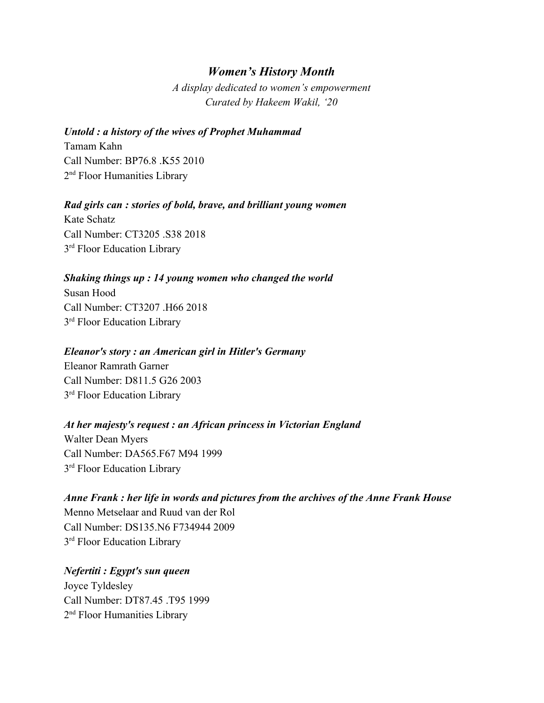# *Women's History Month*

*A display dedicated to women's empowerment Curated by Hakeem Wakil, '20*

#### *Untold : a history of the wives of Prophet Muhammad*

Tamam Kahn Call Number: BP76.8 .K55 2010 2<sup>nd</sup> Floor Humanities Library

#### *Rad girls can : stories of bold, brave, and brilliant young women*

Kate Schatz Call Number: [CT3205 .S38 2018](https://chapcat.chapman.edu/search~S1?/cCT3205+.S38+2018/cct+3205+s38+2018/-3,-1,,E/browse) 3<sup>rd</sup> Floor Education Library

#### *Shaking things up : 14 young women who changed the world*

Susan Hood Call Number: [CT3207 .H66 2018](https://chapcat.chapman.edu/search~S1?/cCT3207+.H66+2018/cct+3207+h66+2018/-3,-1,,E/browse) 3<sup>rd</sup> Floor Education Library

#### *Eleanor's story : an American girl in Hitler's Germany*

Eleanor Ramrath Garner Call Number: [D811.5 G26 2003](https://chapcat.chapman.edu/search~S1?/cD811.5+G26+2003/cd+++811.5+g26+2003/-3,-1,,E/browse) 3<sup>rd</sup> Floor Education Library

#### *At her majesty's request : an African princess in Victorian England*

Walter Dean Myers Call Number: [DA565.F67 M94 1999](https://chapcat.chapman.edu/search~S1?/cDA565.F67+M94+1999/cda++565+f67+m94+1999/-3,-1,,E/browse) 3<sup>rd</sup> Floor Education Library

# *Anne Frank : her life in words and pictures from the archives of the Anne Frank House* Menno Metselaar and Ruud van der Rol Call Number: [DS135.N6 F734944 2009](https://chapcat.chapman.edu/search~S1?/cDS135.N6+F734944+2009/cds++135+n6+f734944+2009/-3,-1,,E/browse)

3<sup>rd</sup> Floor Education Library

*Nefertiti : Egypt's sun queen* Joyce Tyldesley Call Number: [DT87.45 .T95 1999](https://chapcat.chapman.edu/search~S1?/cDT87.45+.T95+1999/cdt+++87.45+t95+1999/-3,-1,,E/browse) 2<sup>nd</sup> Floor Humanities Library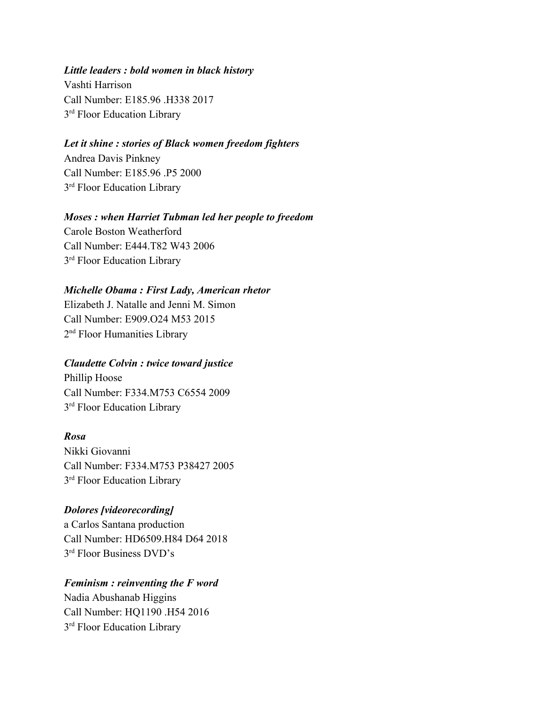#### *Little leaders : bold women in black history*

Vashti Harrison Call Number: [E185.96 .H338 2017](https://chapcat.chapman.edu/search~S1?/cE185.96+.H338+2017/ce+++185.96+h338+2017/-3,-1,,E/browse) 3<sup>rd</sup> Floor Education Library

#### *Let it shine : stories of Black women freedom fighters*

Andrea Davis Pinkney Call Number: [E185.96 .P5 2000](https://chapcat.chapman.edu/search~S1?/cE185.96+.P5+2000/ce+++185.96+p5+2000/-3,-1,,E/browse) 3<sup>rd</sup> Floor Education Library

#### *Moses : when Harriet Tubman led her people to freedom*

Carole Boston Weatherford Call Number: [E444.T82 W43 2006](https://chapcat.chapman.edu/search~S1?/cE444.T82+W43+2006/ce+++444+t82+w43+2006/-3,-1,,E/browse) 3<sup>rd</sup> Floor Education Library

#### *Michelle Obama : First Lady, American rhetor*

Elizabeth J. Natalle and Jenni M. Simon Call Number: [E909.O24 M53 2015](https://chapcat.chapman.edu/search~S1?/cE909.O24+M53+2015/ce+++909+o24+m53+2015/-3,-1,,E/browse) 2<sup>nd</sup> Floor Humanities Library

#### *Claudette Colvin : twice toward justice*

Phillip Hoose Call Number: [F334.M753 C6554 2009](https://chapcat.chapman.edu/search~S1?/cF334.M753+C6554+2009/cf+++334+m753+c6554+2009/-3,-1,,E/browse) 3<sup>rd</sup> Floor Education Library

#### *Rosa*

Nikki Giovanni Call Number: [F334.M753 P38427 2005](https://chapcat.chapman.edu/search~S1?/cF334.M753+P38427+2005/cf+++334+m753+p38427+2005/-3,-1,,E/browse) 3<sup>rd</sup> Floor Education Library

#### *Dolores [videorecording]*

a Carlos Santana production Call Number: [HD6509.H84 D64 2018](https://chapcat.chapman.edu/search~S1?/cHD6509.H84+D64+2018/chd+6509+h84+d64+2018/-3,-1,,E/browse) 3 rd Floor Business DVD's

#### *Feminism : reinventing the F word*

Nadia Abushanab Higgins Call Number: [HQ1190 .H54 2016](https://chapcat.chapman.edu/search~S1?/cHQ1190+.H54+2016/chq+1190+h54+2016/-3,-1,,E/browse) 3<sup>rd</sup> Floor Education Library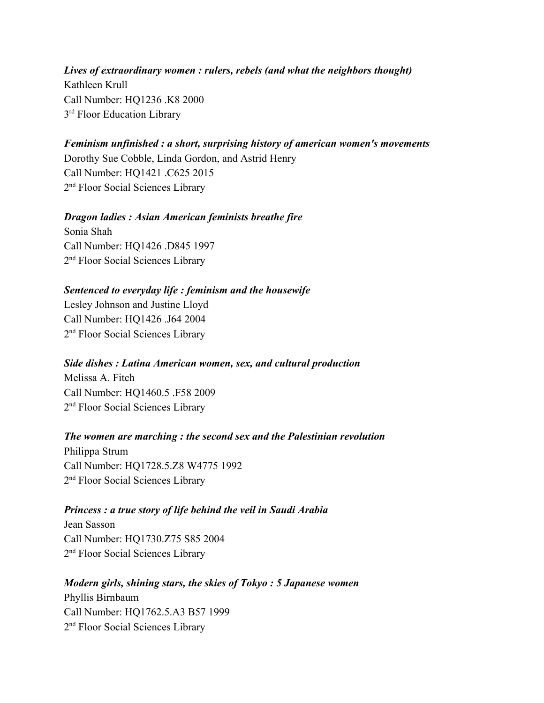*Lives of extraordinary women : rulers, rebels (and what the neighbors thought)* Kathleen Krull Call Number: [HQ1236 .K8 2000](https://chapcat.chapman.edu/search~S1?/cHQ1236+.K8+2000/chq+1236+k8+2000/-3,-1,,E/browse) 3<sup>rd</sup> Floor Education Library

### *Feminism unfinished : a short, surprising history of american women's movements*

Dorothy Sue Cobble, Linda Gordon, and Astrid Henry Call Number: [HQ1421 .C625 2015](https://chapcat.chapman.edu/search~S1?/cHQ1421+.C625+2015/chq+1421+c625+2015/-3,-1,,E/browse) 2<sup>nd</sup> Floor Social Sciences Library

#### *Dragon ladies : Asian American feminists breathe fire*

Sonia Shah Call Number: [HQ1426 .D845 1997](https://chapcat.chapman.edu/search~S1?/cHQ1426+.D845+1997/chq+1426+d845+1997/-3,-1,,E/browse) 2<sup>nd</sup> Floor Social Sciences Library

#### *Sentenced to everyday life : feminism and the housewife*

Lesley Johnson and Justine Lloyd Call Number: HQ1426 .J64 2004 2<sup>nd</sup> Floor Social Sciences Library

#### *Side dishes : Latina American women, sex, and cultural production*

Melissa A. Fitch Call Number: [HQ1460.5 .F58 2009](https://chapcat.chapman.edu/search~S1?/cHQ1460.5+.F58+2009/chq+1460.5+f58+2009/-3,-1,,E/browse) 2<sup>nd</sup> Floor Social Sciences Library

#### *The women are marching : the second sex and the Palestinian revolution*

Philippa Strum Call Number: [HQ1728.5.Z8 W4775 1992](https://chapcat.chapman.edu/search~S1?/cHQ1728.5.Z8+W4775+1992/chq+1728.5+z8+w4775+1992/-3,-1,,E/browse) 2<sup>nd</sup> Floor Social Sciences Library

#### *Princess : a true story of life behind the veil in Saudi Arabia*

Jean Sasson Call Number: [HQ1730.Z75 S85 2004](https://chapcat.chapman.edu/search~S1?/cHQ1730.Z75+S85+2004/chq+1730+z75+s85+2004/-3,-1,,E/browse) 2<sup>nd</sup> Floor Social Sciences Library

#### *Modern girls, shining stars, the skies of Tokyo : 5 Japanese women*

Phyllis Birnbaum Call Number: [HQ1762.5.A3 B57 1999](https://chapcat.chapman.edu/search~S1?/cHQ1762.5.A3+B57+1999/chq+1762.5+a3+b57+1999/-3,-1,,E/browse) 2<sup>nd</sup> Floor Social Sciences Library